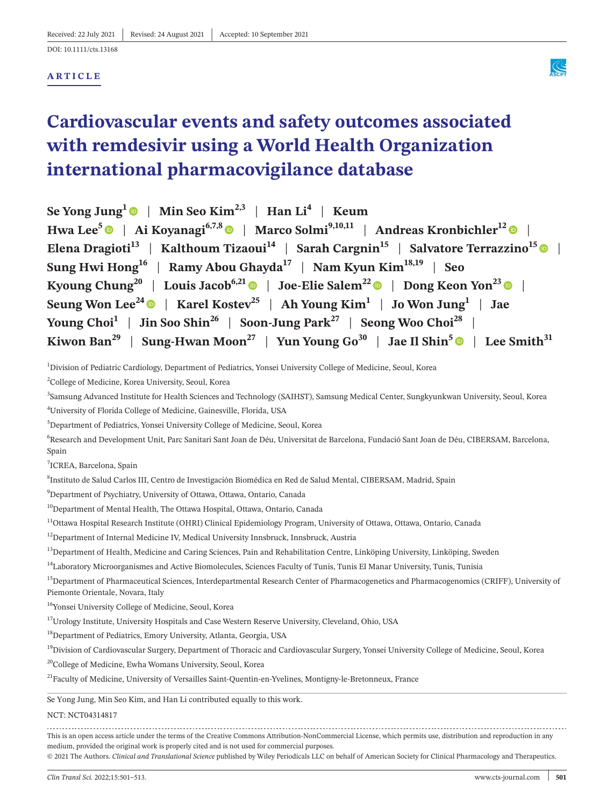## **ARTICLE**



# **Cardiovascular events and safety outcomes associated with remdesivir using a World Health Organization international pharmacovigilance database**

| Se Yong Jung <sup>1</sup> $\bullet$   Min Seo Kim <sup>2,3</sup>   Han Li <sup>4</sup>   Keum                                                          |
|--------------------------------------------------------------------------------------------------------------------------------------------------------|
| Hwa Lee <sup>5</sup> $\bullet$   Ai Koyanagi <sup>6,7,8</sup> $\bullet$   Marco Solmi <sup>9,10,11</sup>   Andreas Kronbichler <sup>12</sup> $\bullet$ |
| Elena Dragioti <sup>13</sup>   Kalthoum Tizaoui <sup>14</sup>   Sarah Cargnin <sup>15</sup>   Salvatore Terrazzino <sup>15</sup>                       |
| Sung Hwi Hong <sup>16</sup>   Ramy Abou Ghayda <sup>17</sup>   Nam Kyun Kim <sup>18,19</sup>   Seo                                                     |
| Kyoung Chung <sup>20</sup>   Louis Jacob <sup>6,21</sup>   Joe-Elie Salem <sup>22</sup>   Dong Keon Yon <sup>23</sup>                                  |
| Seung Won Lee <sup>24</sup> •   Karel Kostev <sup>25</sup>   Ah Young Kim <sup>1</sup>   Jo Won Jung <sup>1</sup>   Jae                                |
| Young Choi <sup>1</sup>   Jin Soo Shin <sup>26</sup>   Soon-Jung Park <sup>27</sup>   Seong Woo Choi <sup>28</sup>                                     |
| Kiwon Ban <sup>29</sup>   Sung-Hwan Moon <sup>27</sup>   Yun Young Go <sup>30</sup>   Jae Il Shin <sup>5</sup>   Lee Smith <sup>31</sup>               |

1 Division of Pediatric Cardiology, Department of Pediatrics, Yonsei University College of Medicine, Seoul, Korea

2 College of Medicine, Korea University, Seoul, Korea

3 Samsung Advanced Institute for Health Sciences and Technology (SAIHST), Samsung Medical Center, Sungkyunkwan University, Seoul, Korea 4 University of Florida College of Medicine, Gainesville, Florida, USA

5 Department of Pediatrics, Yonsei University College of Medicine, Seoul, Korea

<sup>6</sup>Research and Development Unit, Parc Sanitari Sant Joan de Déu, Universitat de Barcelona, Fundació Sant Joan de Déu, CIBERSAM, Barcelona, Spain

7 ICREA, Barcelona, Spain

8 Instituto de Salud Carlos III, Centro de Investigación Biomédica en Red de Salud Mental, CIBERSAM, Madrid, Spain

 $^{9}$ Department of Psychiatry, University of Ottawa, Ottawa, Ontario, Canada

<sup>10</sup>Department of Mental Health, The Ottawa Hospital, Ottawa, Ontario, Canada

<sup>11</sup>Ottawa Hospital Research Institute (OHRI) Clinical Epidemiology Program, University of Ottawa, Ottawa, Ontario, Canada

<sup>12</sup>Department of Internal Medicine IV, Medical University Innsbruck, Innsbruck, Austria

<sup>13</sup>Department of Health, Medicine and Caring Sciences, Pain and Rehabilitation Centre, Linköping University, Linköping, Sweden

<sup>14</sup>Laboratory Microorganismes and Active Biomolecules, Sciences Faculty of Tunis, Tunis El Manar University, Tunis, Tunisia

<sup>15</sup>Department of Pharmaceutical Sciences, Interdepartmental Research Center of Pharmacogenetics and Pharmacogenomics (CRIFF), University of Piemonte Orientale, Novara, Italy

16Yonsei University College of Medicine, Seoul, Korea

<sup>17</sup>Urology Institute, University Hospitals and Case Western Reserve University, Cleveland, Ohio, USA

18Department of Pediatrics, Emory University, Atlanta, Georgia, USA

<sup>19</sup>Division of Cardiovascular Surgery, Department of Thoracic and Cardiovascular Surgery, Yonsei University College of Medicine, Seoul, Korea

<sup>20</sup>College of Medicine, Ewha Womans University, Seoul, Korea

<sup>21</sup>Faculty of Medicine, University of Versailles Saint-Quentin-en-Yvelines, Montigny-le-Bretonneux, France

Se Yong Jung, Min Seo Kim, and Han Li contributed equally to this work.

NCT: NCT04314817

This is an open access article under the terms of the Creative Commons [Attribution-NonCommercial](http://creativecommons.org/licenses/by-nc/4.0/) License, which permits use, distribution and reproduction in any medium, provided the original work is properly cited and is not used for commercial purposes.

© 2021 The Authors. *Clinical and Translational Science* published by Wiley Periodicals LLC on behalf of American Society for Clinical Pharmacology and Therapeutics.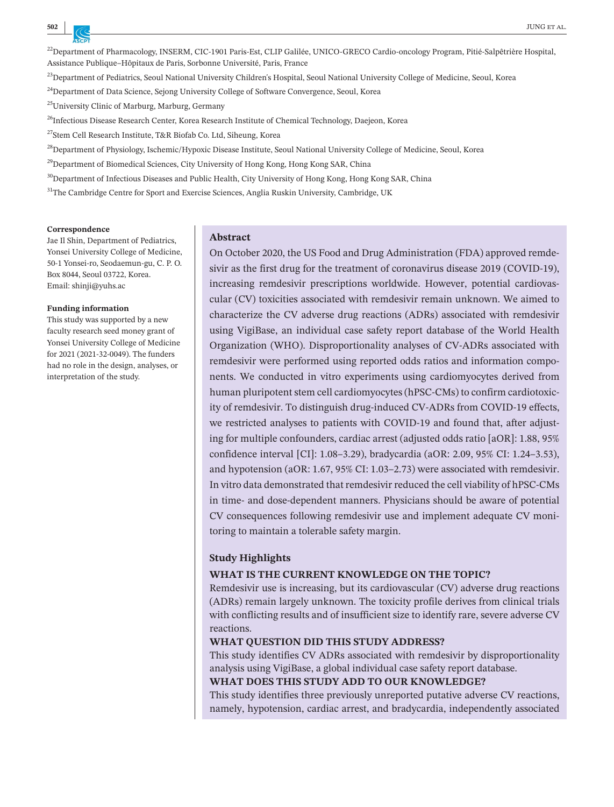<sup>22</sup>Department of Pharmacology, INSERM, CIC-1901 Paris-Est, CLIP Galilée, UNICO-GRECO Cardio-oncology Program, Pitié-Salpêtrière Hospital, Assistance Publique–Hôpitaux de Paris, Sorbonne Université, Paris, France

<sup>23</sup>Department of Pediatrics, Seoul National University Children's Hospital, Seoul National University College of Medicine, Seoul, Korea

<sup>24</sup>Department of Data Science, Sejong University College of Software Convergence, Seoul, Korea

25University Clinic of Marburg, Marburg, Germany

<sup>26</sup>Infectious Disease Research Center, Korea Research Institute of Chemical Technology, Daejeon, Korea

27Stem Cell Research Institute, T&R Biofab Co. Ltd, Siheung, Korea

<sup>28</sup>Department of Physiology, Ischemic/Hypoxic Disease Institute, Seoul National University College of Medicine, Seoul, Korea

<sup>29</sup>Department of Biomedical Sciences, City University of Hong Kong, Hong Kong SAR, China

<sup>30</sup>Department of Infectious Diseases and Public Health, City University of Hong Kong, Hong Kong SAR, China

<sup>31</sup>The Cambridge Centre for Sport and Exercise Sciences, Anglia Ruskin University, Cambridge, UK

#### **Correspondence**

Jae Il Shin, Department of Pediatrics, Yonsei University College of Medicine, 50-1 Yonsei-ro, Seodaemun-gu, C. P. O. Box 8044, Seoul 03722, Korea. Email: [shinji@yuhs.ac](mailto:shinji@yuhs.ac)

#### **Funding information**

This study was supported by a new faculty research seed money grant of Yonsei University College of Medicine for 2021 (2021-32-0049). The funders had no role in the design, analyses, or interpretation of the study.

#### **Abstract**

On October 2020, the US Food and Drug Administration (FDA) approved remdesivir as the first drug for the treatment of coronavirus disease 2019 (COVID-19), increasing remdesivir prescriptions worldwide. However, potential cardiovascular (CV) toxicities associated with remdesivir remain unknown. We aimed to characterize the CV adverse drug reactions (ADRs) associated with remdesivir using VigiBase, an individual case safety report database of the World Health Organization (WHO). Disproportionality analyses of CV-ADRs associated with remdesivir were performed using reported odds ratios and information components. We conducted in vitro experiments using cardiomyocytes derived from human pluripotent stem cell cardiomyocytes (hPSC-CMs) to confirm cardiotoxicity of remdesivir. To distinguish drug-induced CV-ADRs from COVID-19 effects, we restricted analyses to patients with COVID-19 and found that, after adjusting for multiple confounders, cardiac arrest (adjusted odds ratio [aOR]: 1.88, 95% confidence interval [CI]: 1.08–3.29), bradycardia (aOR: 2.09, 95% CI: 1.24–3.53), and hypotension (aOR: 1.67, 95% CI: 1.03–2.73) were associated with remdesivir. In vitro data demonstrated that remdesivir reduced the cell viability of hPSC-CMs in time- and dose-dependent manners. Physicians should be aware of potential CV consequences following remdesivir use and implement adequate CV monitoring to maintain a tolerable safety margin.

#### **Study Highlights**

#### **WHAT IS THE CURRENT KNOWLEDGE ON THE TOPIC?**

Remdesivir use is increasing, but its cardiovascular (CV) adverse drug reactions (ADRs) remain largely unknown. The toxicity profile derives from clinical trials with conflicting results and of insufficient size to identify rare, severe adverse CV reactions.

#### **WHAT QUESTION DID THIS STUDY ADDRESS?**

This study identifies CV ADRs associated with remdesivir by disproportionality analysis using VigiBase, a global individual case safety report database.

#### **WHAT DOES THIS STUDY ADD TO OUR KNOWLEDGE?**

This study identifies three previously unreported putative adverse CV reactions, namely, hypotension, cardiac arrest, and bradycardia, independently associated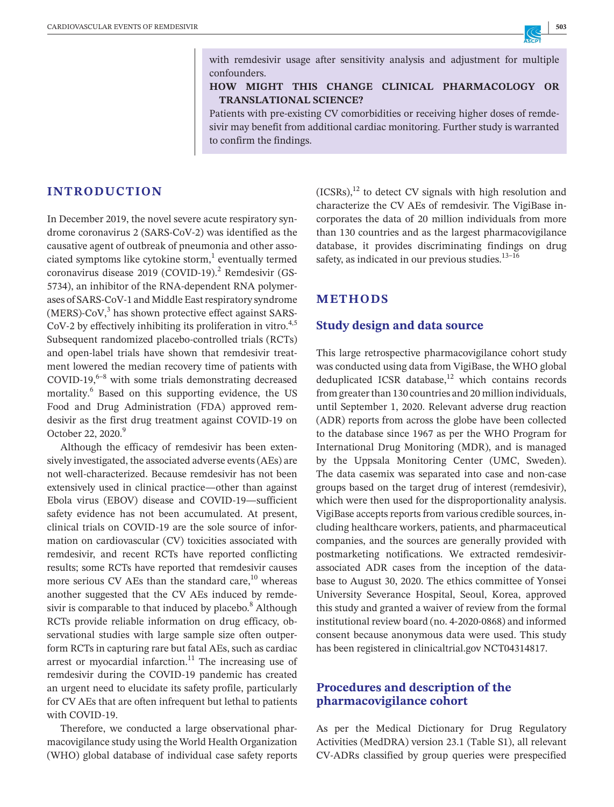with remdesivir usage after sensitivity analysis and adjustment for multiple confounders.

## **HOW MIGHT THIS CHANGE CLINICAL PHARMACOLOGY OR TRANSLATIONAL SCIENCE?**

Patients with pre-existing CV comorbidities or receiving higher doses of remdesivir may benefit from additional cardiac monitoring. Further study is warranted to confirm the findings.

## **INTRODUCTION**

In December 2019, the novel severe acute respiratory syndrome coronavirus 2 (SARS-CoV-2) was identified as the causative agent of outbreak of pneumonia and other associated symptoms like cytokine storm, $<sup>1</sup>$  eventually termed</sup> coronavirus disease 2019 (COVID-19).<sup>2</sup> Remdesivir (GS-5734), an inhibitor of the RNA-dependent RNA polymerases of SARS-CoV-1 and Middle East respiratory syndrome  $(MERS)$ -CoV, $3$  has shown protective effect against SARS- $CoV-2$  by effectively inhibiting its proliferation in vitro.<sup>4,5</sup> Subsequent randomized placebo-controlled trials (RCTs) and open-label trials have shown that remdesivir treatment lowered the median recovery time of patients with  $COVID-19<sup>6-8</sup>$  with some trials demonstrating decreased mortality.<sup>6</sup> Based on this supporting evidence, the US Food and Drug Administration (FDA) approved remdesivir as the first drug treatment against COVID-19 on October 22, 2020.<sup>9</sup>

Although the efficacy of remdesivir has been extensively investigated, the associated adverse events(AEs) are not well-characterized. Because remdesivir has not been extensively used in clinical practice—other than against Ebola virus (EBOV) disease and COVID-19—sufficient safety evidence has not been accumulated. At present, clinical trials on COVID-19 are the sole source of information on cardiovascular (CV) toxicities associated with remdesivir, and recent RCTs have reported conflicting results; some RCTs have reported that remdesivir causes more serious CV AEs than the standard care, $^{10}$  whereas another suggested that the CV AEs induced by remdesivir is comparable to that induced by placebo.<sup>8</sup> Although RCTs provide reliable information on drug efficacy, observational studies with large sample size often outperform RCTs in capturing rare but fatal AEs, such as cardiac arrest or myocardial infarction. $11$  The increasing use of remdesivir during the COVID-19 pandemic has created an urgent need to elucidate its safety profile, particularly for CV AEs that are often infrequent but lethal to patients with COVID-19.

Therefore, we conducted a large observational pharmacovigilance study using the World Health Organization (WHO) global database of individual case safety reports  $(ICSRs),<sup>12</sup>$  to detect CV signals with high resolution and characterize the CV AEs of remdesivir. The VigiBase incorporates the data of 20 million individuals from more than 130 countries and as the largest pharmacovigilance database, it provides discriminating findings on drug safety, as indicated in our previous studies. $13-16$ 

## **METHODS**

## **Study design and data source**

This large retrospective pharmacovigilance cohort study was conducted using data from VigiBase, the WHO global deduplicated ICSR database, $12$  which contains records from greater than 130 countries and 20 million individuals, until September 1, 2020. Relevant adverse drug reaction (ADR) reports from across the globe have been collected to the database since 1967 as per the WHO Program for International Drug Monitoring (MDR), and is managed by the Uppsala Monitoring Center (UMC, Sweden). The data casemix was separated into case and non-case groups based on the target drug of interest (remdesivir), which were then used for the disproportionality analysis. VigiBase accepts reports from various credible sources, including healthcare workers, patients, and pharmaceutical companies, and the sources are generally provided with postmarketing notifications. We extracted remdesivirassociated ADR cases from the inception of the database to August 30, 2020. The ethics committee of Yonsei University Severance Hospital, Seoul, Korea, approved this study and granted a waiver of review from the formal institutional review board (no. 4-2020-0868) and informed consent because anonymous data were used. This study has been registered in clinicaltrial.gov NCT04314817.

## **Procedures and description of the pharmacovigilance cohort**

As per the Medical Dictionary for Drug Regulatory Activities (MedDRA) version 23.1 (Table S1), all relevant CV-ADRs classified by group queries were prespecified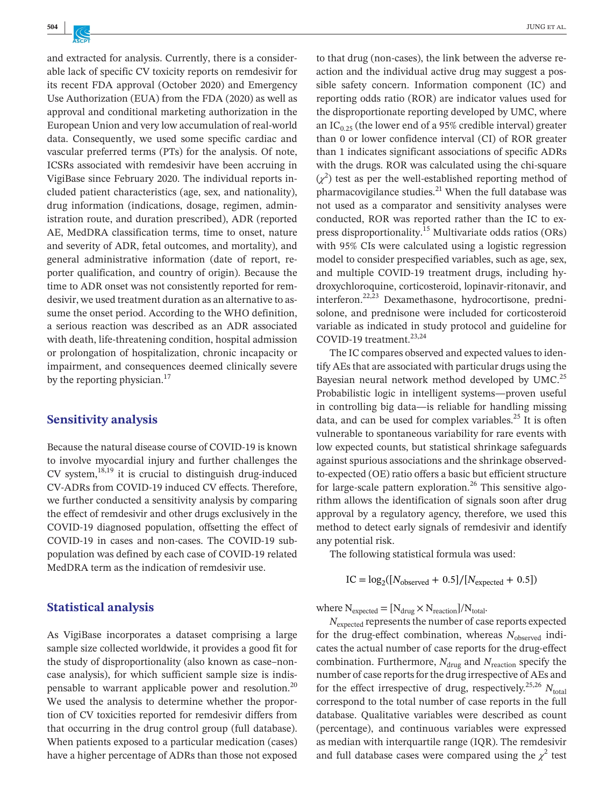and extracted for analysis. Currently, there is a considerable lack of specific CV toxicity reports on remdesivir for its recent FDA approval (October 2020) and Emergency Use Authorization (EUA) from the FDA (2020) as well as approval and conditional marketing authorization in the European Union and very low accumulation of real-world data. Consequently, we used some specific cardiac and vascular preferred terms (PTs) for the analysis. Of note, ICSRs associated with remdesivir have been accruing in VigiBase since February 2020. The individual reports included patient characteristics (age, sex, and nationality), drug information (indications, dosage, regimen, administration route, and duration prescribed), ADR (reported AE, MedDRA classification terms, time to onset, nature and severity of ADR, fetal outcomes, and mortality), and general administrative information (date of report, reporter qualification, and country of origin). Because the time to ADR onset was not consistently reported for remdesivir, we used treatment duration as an alternative to assume the onset period. According to the WHO definition, a serious reaction was described as an ADR associated with death, life-threatening condition, hospital admission or prolongation of hospitalization, chronic incapacity or impairment, and consequences deemed clinically severe by the reporting physician.<sup>17</sup>

## **Sensitivity analysis**

Because the natural disease course of COVID-19 is known to involve myocardial injury and further challenges the  $CV$  system,<sup>18,19</sup> it is crucial to distinguish drug-induced CV-ADRs from COVID-19 induced CV effects. Therefore, we further conducted a sensitivity analysis by comparing the effect of remdesivir and other drugs exclusively in the COVID-19 diagnosed population, offsetting the effect of COVID-19 in cases and non-cases. The COVID-19 subpopulation was defined by each case of COVID-19 related MedDRA term as the indication of remdesivir use.

## **Statistical analysis**

As VigiBase incorporates a dataset comprising a large sample size collected worldwide, it provides a good fit for the study of disproportionality (also known as case–noncase analysis), for which sufficient sample size is indispensable to warrant applicable power and resolution.<sup>20</sup> We used the analysis to determine whether the proportion of CV toxicities reported for remdesivir differs from that occurring in the drug control group (full database). When patients exposed to a particular medication (cases) have a higher percentage of ADRs than those not exposed

to that drug (non-cases), the link between the adverse reaction and the individual active drug may suggest a possible safety concern. Information component (IC) and reporting odds ratio (ROR) are indicator values used for the disproportionate reporting developed by UMC, where an  $IC_{0.25}$  (the lower end of a 95% credible interval) greater than 0 or lower confidence interval (CI) of ROR greater than 1 indicates significant associations of specific ADRs with the drugs. ROR was calculated using the chi-square  $(\chi^2)$  test as per the well-established reporting method of pharmacovigilance studies. $^{21}$  When the full database was not used as a comparator and sensitivity analyses were conducted, ROR was reported rather than the IC to express disproportionality.<sup>15</sup> Multivariate odds ratios (ORs) with 95% CIs were calculated using a logistic regression model to consider prespecified variables, such as age, sex, and multiple COVID-19 treatment drugs, including hydroxychloroquine, corticosteroid, lopinavir-ritonavir, and interferon.22,23 Dexamethasone, hydrocortisone, prednisolone, and prednisone were included for corticosteroid variable as indicated in study protocol and guideline for COVID-19 treatment.<sup>23,24</sup>

The IC compares observed and expected values to identify AEs that are associated with particular drugs using the Bayesian neural network method developed by UMC.<sup>25</sup> Probabilistic logic in intelligent systems—proven useful in controlling big data—is reliable for handling missing data, and can be used for complex variables.<sup>25</sup> It is often vulnerable to spontaneous variability for rare events with low expected counts, but statistical shrinkage safeguards against spurious associations and the shrinkage observedto-expected (OE) ratio offers a basic but efficient structure for large-scale pattern exploration.<sup>26</sup> This sensitive algorithm allows the identification of signals soon after drug approval by a regulatory agency, therefore, we used this method to detect early signals of remdesivir and identify any potential risk.

The following statistical formula was used:

$$
IC = \log_2([N_{\text{observed}} + 0.5]/[N_{\text{expected}} + 0.5])
$$

where  $N_{expected} = [N_{drug} \times N_{reaction}]/N_{total}$ .

*N*<sub>expected</sub> represents the number of case reports expected for the drug-effect combination, whereas  $N_{observed}$  indicates the actual number of case reports for the drug-effect combination. Furthermore,  $N_{\text{drug}}$  and  $N_{\text{reaction}}$  specify the number of case reports for the drug irrespective of AEs and for the effect irrespective of drug, respectively.<sup>25,26</sup>  $N_{total}$ correspond to the total number of case reports in the full database. Qualitative variables were described as count (percentage), and continuous variables were expressed as median with interquartile range (IQR). The remdesivir and full database cases were compared using the  $\chi^2$  test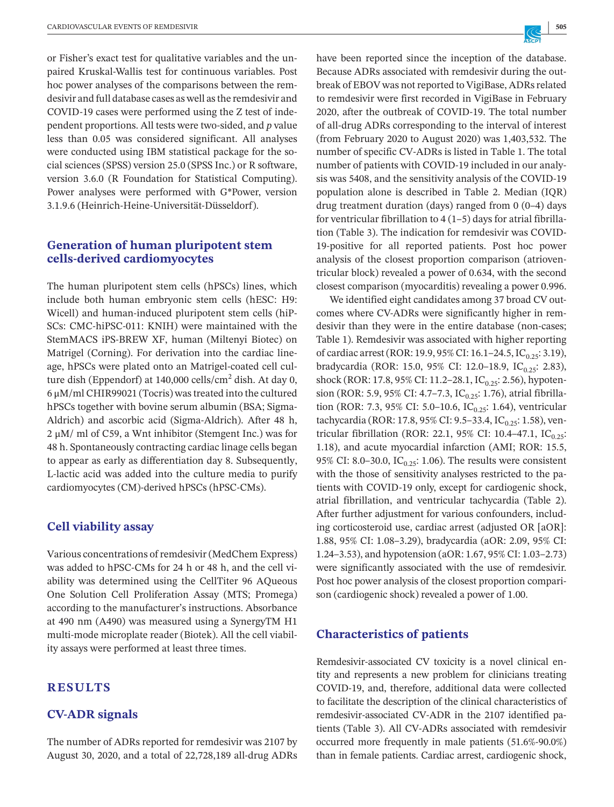or Fisher's exact test for qualitative variables and the unpaired Kruskal-Wallis test for continuous variables. Post hoc power analyses of the comparisons between the remdesivir and full database cases as well asthe remdesivir and COVID-19 cases were performed using the Z test of independent proportions. All tests were two-sided, and *p* value less than 0.05 was considered significant. All analyses were conducted using IBM statistical package for the social sciences (SPSS) version 25.0 (SPSS Inc.) or R software, version 3.6.0 (R Foundation for Statistical Computing). Power analyses were performed with G\*Power, version 3.1.9.6 (Heinrich-Heine-Universität-Düsseldorf).

## **Generation of human pluripotent stem cells-derived cardiomyocytes**

The human pluripotent stem cells (hPSCs) lines, which include both human embryonic stem cells (hESC: H9: Wicell) and human-induced pluripotent stem cells (hiP-SCs: CMC-hiPSC-011: KNIH) were maintained with the StemMACS iPS-BREW XF, human (Miltenyi Biotec) on Matrigel (Corning). For derivation into the cardiac lineage, hPSCs were plated onto an Matrigel-coated cell culture dish (Eppendorf) at  $140,000$  cells/cm<sup>2</sup> dish. At day 0, 6 μM/ml CHIR99021 (Tocris) wastreated into the cultured hPSCs together with bovine serum albumin (BSA; Sigma-Aldrich) and ascorbic acid (Sigma-Aldrich). After 48 h, 2 μM/ ml of C59, a Wnt inhibitor (Stemgent Inc.) was for 48 h. Spontaneously contracting cardiac linage cells began to appear as early as differentiation day 8. Subsequently, L-lactic acid was added into the culture media to purify cardiomyocytes (CM)-derived hPSCs (hPSC-CMs).

## **Cell viability assay**

Various concentrations ofremdesivir(MedChem Express) was added to hPSC-CMs for 24 h or 48 h, and the cell viability was determined using the CellTiter 96 AQueous One Solution Cell Proliferation Assay (MTS; Promega) according to the manufacturer's instructions. Absorbance at 490 nm (A490) was measured using a SynergyTM H1 multi-mode microplate reader (Biotek). All the cell viability assays were performed at least three times.

## **RESULTS**

#### **CV-ADR signals**

The number of ADRs reported for remdesivir was 2107 by August 30, 2020, and a total of 22,728,189 all-drug ADRs have been reported since the inception of the database. Because ADRs associated with remdesivir during the outbreak of EBOV was not reported to VigiBase, ADRs related to remdesivir were first recorded in VigiBase in February 2020, after the outbreak of COVID-19. The total number of all-drug ADRs corresponding to the interval of interest (from February 2020 to August 2020) was 1,403,532. The number of specific CV-ADRs is listed in Table 1. The total number of patients with COVID-19 included in our analysis was 5408, and the sensitivity analysis of the COVID-19 population alone is described in Table 2. Median (IQR) drug treatment duration (days) ranged from 0 (0–4) days for ventricular fibrillation to  $4(1-5)$  days for atrial fibrillation (Table 3). The indication for remdesivir was COVID-19-positive for all reported patients. Post hoc power analysis of the closest proportion comparison (atrioventricular block) revealed a power of 0.634, with the second closest comparison (myocarditis) revealing a power 0.996.

We identified eight candidates among 37 broad CV outcomes where CV-ADRs were significantly higher in remdesivir than they were in the entire database (non-cases; Table 1). Remdesivir was associated with higher reporting of cardiac arrest (ROR: 19.9, 95% CI: 16.1–24.5, IC<sub>0.25</sub>: 3.19), bradycardia (ROR: 15.0, 95% CI: 12.0-18.9, IC $_{0.25}$ : 2.83), shock (ROR: 17.8, 95% CI: 11.2–28.1, IC<sub>0.25</sub>: 2.56), hypotension (ROR: 5.9, 95% CI: 4.7–7.3,  $IC_{0.25}$ : 1.76), atrial fibrillation (ROR: 7.3, 95% CI: 5.0–10.6, IC<sub>0.25</sub>: 1.64), ventricular tachycardia (ROR: 17.8, 95% CI: 9.5–33.4, IC<sub>0.25</sub>: 1.58), ventricular fibrillation (ROR: 22.1, 95% CI: 10.4-47.1,  $IC_{0.25}$ : 1.18), and acute myocardial infarction (AMI; ROR: 15.5, 95% CI: 8.0–30.0, IC<sub>0.25</sub>: 1.06). The results were consistent with the those of sensitivity analyses restricted to the patients with COVID-19 only, except for cardiogenic shock, atrial fibrillation, and ventricular tachycardia (Table 2). After further adjustment for various confounders, including corticosteroid use, cardiac arrest (adjusted OR [aOR]: 1.88, 95% CI: 1.08–3.29), bradycardia (aOR: 2.09, 95% CI: 1.24–3.53), and hypotension (aOR: 1.67, 95% CI: 1.03–2.73) were significantly associated with the use of remdesivir. Post hoc power analysis of the closest proportion comparison (cardiogenic shock) revealed a power of 1.00.

#### **Characteristics of patients**

Remdesivir-associated CV toxicity is a novel clinical entity and represents a new problem for clinicians treating COVID-19, and, therefore, additional data were collected to facilitate the description of the clinical characteristics of remdesivir-associated CV-ADR in the 2107 identified patients (Table 3). All CV-ADRs associated with remdesivir occurred more frequently in male patients (51.6%-90.0%) than in female patients. Cardiac arrest, cardiogenic shock,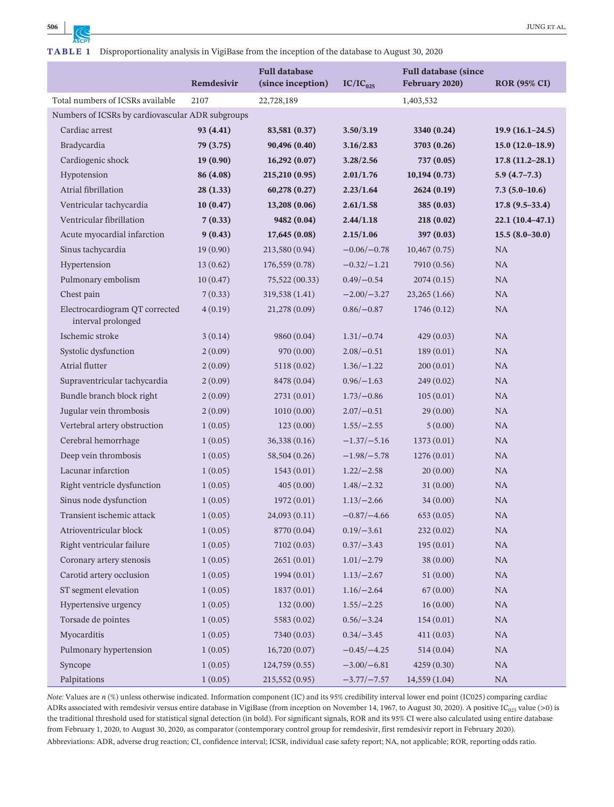|                                                      | Remdesivir | <b>Full database</b><br>(since inception) | $IC/IC_{025}$  | <b>Full database (since</b><br>February 2020) | <b>ROR (95% CI)</b> |
|------------------------------------------------------|------------|-------------------------------------------|----------------|-----------------------------------------------|---------------------|
| Total numbers of ICSRs available                     | 2107       | 22,728,189                                |                | 1,403,532                                     |                     |
| Numbers of ICSRs by cardiovascular ADR subgroups     |            |                                           |                |                                               |                     |
| Cardiac arrest                                       | 93 (4.41)  | 83,581 (0.37)                             | 3.50/3.19      | 3340 (0.24)                                   | $19.9(16.1-24.5)$   |
| Bradycardia                                          | 79 (3.75)  | 90,496 (0.40)                             | 3.16/2.83      | 3703 (0.26)                                   | $15.0(12.0-18.9)$   |
| Cardiogenic shock                                    | 19(0.90)   | 16,292(0.07)                              | 3.28/2.56      | 737 (0.05)                                    | $17.8(11.2 - 28.1)$ |
| Hypotension                                          | 86 (4.08)  | 215,210 (0.95)                            | 2.01/1.76      | 10,194(0.73)                                  | $5.9(4.7-7.3)$      |
| Atrial fibrillation                                  | 28(1.33)   | 60,278(0.27)                              | 2.23/1.64      | 2624(0.19)                                    | $7.3(5.0-10.6)$     |
| Ventricular tachycardia                              | 10(0.47)   | 13,208 (0.06)                             | 2.61/1.58      | 385(0.03)                                     | $17.8(9.5-33.4)$    |
| Ventricular fibrillation                             | 7(0.33)    | 9482 (0.04)                               | 2.44/1.18      | 218(0.02)                                     | $22.1(10.4-47.1)$   |
| Acute myocardial infarction                          | 9(0.43)    | 17,645 (0.08)                             | 2.15/1.06      | 397 (0.03)                                    | $15.5(8.0-30.0)$    |
| Sinus tachycardia                                    | 19(0.90)   | 213,580 (0.94)                            | $-0.06/-0.78$  | 10,467(0.75)                                  | <b>NA</b>           |
| Hypertension                                         | 13(0.62)   | 176,559(0.78)                             | $-0.32/-1.21$  | 7910 (0.56)                                   | <b>NA</b>           |
| Pulmonary embolism                                   | 10(0.47)   | 75,522 (00.33)                            | $0.49/-0.54$   | 2074(0.15)                                    | <b>NA</b>           |
| Chest pain                                           | 7(0.33)    | 319,538 (1.41)                            | $-2.00(-3.27)$ | 23,265(1.66)                                  | NA                  |
| Electrocardiogram QT corrected<br>interval prolonged | 4(0.19)    | 21,278 (0.09)                             | $0.86/-0.87$   | 1746 (0.12)                                   | <b>NA</b>           |
| Ischemic stroke                                      | 3(0.14)    | 9860 (0.04)                               | $1.31/-0.74$   | 429(0.03)                                     | <b>NA</b>           |
| Systolic dysfunction                                 | 2(0.09)    | 970(0.00)                                 | $2.08/-0.51$   | 189(0.01)                                     | <b>NA</b>           |
| Atrial flutter                                       | 2(0.09)    | 5118(0.02)                                | $1.36/-1.22$   | 200(0.01)                                     | <b>NA</b>           |
| Supraventricular tachycardia                         | 2(0.09)    | 8478 (0.04)                               | $0.96/-1.63$   | 249 (0.02)                                    | <b>NA</b>           |
| Bundle branch block right                            | 2(0.09)    | 2731(0.01)                                | $1.73/-0.86$   | 105(0.01)                                     | <b>NA</b>           |
| Jugular vein thrombosis                              | 2(0.09)    | 1010(0.00)                                | $2.07/-0.51$   | 29(0.00)                                      | <b>NA</b>           |
| Vertebral artery obstruction                         | 1(0.05)    | 123(0.00)                                 | $1.55/-2.55$   | 5(0.00)                                       | <b>NA</b>           |
| Cerebral hemorrhage                                  | 1(0.05)    | 36,338(0.16)                              | $-1.37/-5.16$  | 1373(0.01)                                    | <b>NA</b>           |
| Deep vein thrombosis                                 | 1(0.05)    | 58,504 (0.26)                             | $-1.98/-5.78$  | 1276(0.01)                                    | <b>NA</b>           |
| Lacunar infarction                                   | 1(0.05)    | 1543(0.01)                                | $1.22/-2.58$   | 20(0.00)                                      | <b>NA</b>           |
| Right ventricle dysfunction                          | 1(0.05)    | 405(0.00)                                 | $1.48/-2.32$   | 31(0.00)                                      | NA                  |
| Sinus node dysfunction                               | 1(0.05)    | 1972(0.01)                                | $1.13/-2.66$   | 34(0.00)                                      | <b>NA</b>           |
| Transient ischemic attack                            | 1(0.05)    | 24,093 (0.11)                             | $-0.87/-4.66$  | 653(0.05)                                     | <b>NA</b>           |
| Atrioventricular block                               | 1(0.05)    | 8770 (0.04)                               | $0.19/-3.61$   | 232 (0.02)                                    | $\rm NA$            |
| Right ventricular failure                            | 1(0.05)    | 7102(0.03)                                | $0.37/-3.43$   | 195(0.01)                                     | NA                  |
| Coronary artery stenosis                             | 1(0.05)    | 2651(0.01)                                | $1.01/-2.79$   | 38(0.00)                                      | NA                  |
| Carotid artery occlusion                             | 1(0.05)    | 1994 (0.01)                               | $1.13/-2.67$   | 51(0.00)                                      | NA                  |
| ST segment elevation                                 | 1(0.05)    | 1837 (0.01)                               | $1.16/-2.64$   | 67(0.00)                                      | NA                  |
| Hypertensive urgency                                 | 1(0.05)    | 132(0.00)                                 | $1.55/-2.25$   | 16(0.00)                                      | NA                  |
| Torsade de pointes                                   | 1(0.05)    | 5583 (0.02)                               | $0.56/-3.24$   | 154(0.01)                                     | NA                  |
| Myocarditis                                          | 1(0.05)    | 7340 (0.03)                               | $0.34/-3.45$   | 411(0.03)                                     | NA                  |
| Pulmonary hypertension                               | 1(0.05)    | 16,720(0.07)                              | $-0.45/-4.25$  | 514(0.04)                                     | NA                  |
| Syncope                                              | 1(0.05)    | 124,759 (0.55)                            | $-3.00/-6.81$  | 4259 (0.30)                                   | NA                  |
| Palpitations                                         | 1(0.05)    | 215,552(0.95)                             | $-3.77/-7.57$  | 14,559(1.04)                                  | NA                  |

*Note:* Values are  $n$  (%) unless otherwise indicated. Information component (IC) and its 95% credibility interval lower end point (IC025) comparing cardiac ADRs associated with remdesivir versus entire database in VigiBase (from inception on November 14, 1967, to August 30, 2020). A positive IC<sub>025</sub> value (>0) is the traditional threshold used for statistical signal detection (in bold). For significant signals, ROR and its 95% CI were also calculated using entire database from February 1, 2020, to August 30, 2020, as comparator (contemporary control group for remdesivir, first remdesivir report in February 2020). Abbreviations: ADR, adverse drug reaction; CI, confidence interval; ICSR, individual case safety report; NA, not applicable; ROR, reporting odds ratio.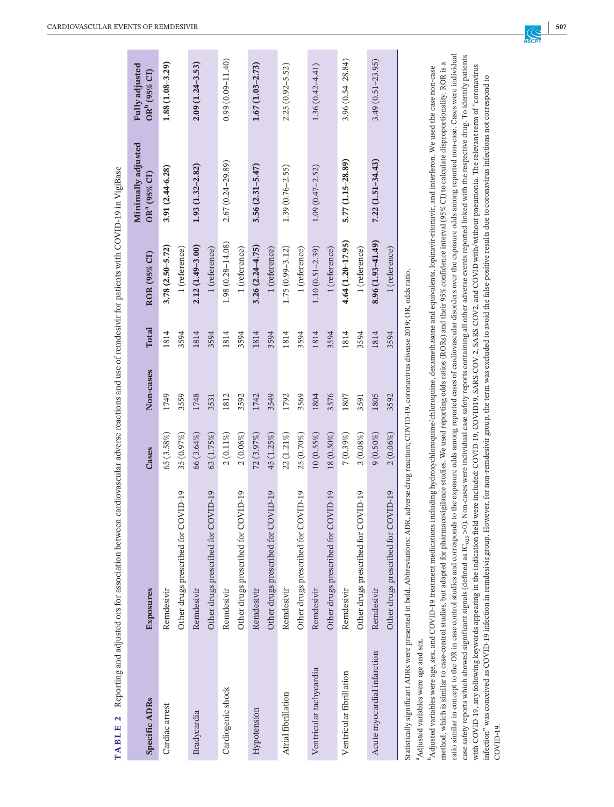| TABLE 2                              | Reporting and adjusted ors for association between                                                                                                                                                                                                                                                                                                                                                                                                 |              |           |              | cardiovascular adverse reactions and use of remdesivir for patients with COVID-19 in VigiBase |                                                |                                            |
|--------------------------------------|----------------------------------------------------------------------------------------------------------------------------------------------------------------------------------------------------------------------------------------------------------------------------------------------------------------------------------------------------------------------------------------------------------------------------------------------------|--------------|-----------|--------------|-----------------------------------------------------------------------------------------------|------------------------------------------------|--------------------------------------------|
| <b>Specific ADRs</b>                 | Exposures                                                                                                                                                                                                                                                                                                                                                                                                                                          | Cases        | Non-cases | <b>Total</b> | ROR (95% CI)                                                                                  | Minimally adjusted<br>OR <sup>a</sup> (95% CI) | Fully adjusted<br>OR <sup>b</sup> (95% CI) |
| Cardiac arrest                       | Remdesivir                                                                                                                                                                                                                                                                                                                                                                                                                                         | 65(3.58%)    | 1749      | 1814         | $3.78(2.50 - 5.72)$                                                                           | 3.91 (2.44-6.28)                               | $1.88(1.08 - 3.29)$                        |
|                                      | Other drugs prescribed for COVID-19                                                                                                                                                                                                                                                                                                                                                                                                                | 35 (0.97%)   | 3559      | 3594         | 1 (reference)                                                                                 |                                                |                                            |
| Bradycardia                          | Remdesivir                                                                                                                                                                                                                                                                                                                                                                                                                                         | 66 (3.64%)   | 1748      | 1814         | $2.12(1.49 - 3.00)$                                                                           | $1.93(1.32 - 2.82)$                            | $2.09(1.24 - 3.53)$                        |
|                                      | VID-19<br>Other drugs prescribed for CO                                                                                                                                                                                                                                                                                                                                                                                                            | 63 (1.75%)   | 3531      | 3594         | $1$ (reference) $\,$                                                                          |                                                |                                            |
| Cardiogenic shock                    | Remdesivir                                                                                                                                                                                                                                                                                                                                                                                                                                         | $2(0.11\%)$  | 1812      | 1814         | $1.98(0.28 - 14.08)$                                                                          | 2.67 (0.24-29.89)                              | $0.99(0.09 - 11.40)$                       |
|                                      | Other drugs prescribed for COVID-19                                                                                                                                                                                                                                                                                                                                                                                                                | $2(0.06\%)$  | 3592      | 3594         | $1$ (reference) $\,$                                                                          |                                                |                                            |
| Hypotension                          | Remdesivir                                                                                                                                                                                                                                                                                                                                                                                                                                         | 72(3.97%)    | 1742      | 1814         | $3.26(2.24 - 4.75)$                                                                           | $3.56(2.31 - 5.47)$                            | $1.67(1.03 - 2.73)$                        |
|                                      | Other drugs prescribed for COVID-19                                                                                                                                                                                                                                                                                                                                                                                                                | 45(1.25%)    | 3549      | 3594         | 1 (reference)                                                                                 |                                                |                                            |
| Atrial fibrillation                  | Remdesivir                                                                                                                                                                                                                                                                                                                                                                                                                                         | $22(1.21\%)$ | 1792      | 1814         | $1.75(0.99 - 3.12)$                                                                           | $1.39(0.76 - 2.55)$                            | $2.25(0.92 - 5.52)$                        |
|                                      | Other drugs prescribed for COVID-19                                                                                                                                                                                                                                                                                                                                                                                                                | 25 (0.70%)   | 3569      | 3594         | $1$ (reference)                                                                               |                                                |                                            |
| Ventricular tachycardia              | Remdesivir                                                                                                                                                                                                                                                                                                                                                                                                                                         | 10(0.55%)    | 1804      | 1814         | $1.10(0.51 - 2.39)$                                                                           | $1.09(0.47 - 2.52)$                            | $1.36(0.42 - 4.41)$                        |
|                                      | Other drugs prescribed for COVID-19                                                                                                                                                                                                                                                                                                                                                                                                                | $18(0.50\%)$ | 3576      | 3594         | 1 (reference)                                                                                 |                                                |                                            |
| Ventricular fibrillation             | Remdesivir                                                                                                                                                                                                                                                                                                                                                                                                                                         | $7(0.39\%)$  | 1807      | 1814         | $4.64(1.20 - 17.95)$                                                                          | 5.77 (1.15-28.89)                              | 3.96 (0.54-28.84)                          |
|                                      | Other drugs prescribed for COVID-19                                                                                                                                                                                                                                                                                                                                                                                                                | $3(0.08\%)$  | 3591      | 3594         | $1$ (reference) $\,$                                                                          |                                                |                                            |
| Acute myocardial infarction          | Remdesivir                                                                                                                                                                                                                                                                                                                                                                                                                                         | $9(0.50\%)$  | 1805      | 1814         | $8.96(1.93 - 41.49)$                                                                          | $7.22(1.51 - 34.43)$                           | $3.49(0.51 - 23.95)$                       |
|                                      | VID-19<br>Other drugs prescribed for CO                                                                                                                                                                                                                                                                                                                                                                                                            | $2(0.06\%)$  | 3592      | 3594         | 1 (reference)                                                                                 |                                                |                                            |
|                                      | Statistically significant ADRs were presented in bold. Abbreviations: ADR, adverse drug reaction; COVID-19, coronavirus disease 2019; OR, odds ratio.                                                                                                                                                                                                                                                                                              |              |           |              |                                                                                               |                                                |                                            |
| Adjusted variables were age and sex. |                                                                                                                                                                                                                                                                                                                                                                                                                                                    |              |           |              |                                                                                               |                                                |                                            |
|                                      | Adjusted variables were age, sex, and COVID-19 treatment medications including hydroxychloroquine/chloroquine, dexamethasone and equivalents, lopinavir-ritonavir, and interferon. We used the case non-case<br>method, which is similar to case-control studies, but adapted for pharmacovigilance studies. We used reporting odds ratios (RORs) and their 95% confidence interval (95% CI) to calculate disproportionality. ROR is               |              |           |              |                                                                                               |                                                | ದ                                          |
|                                      | ratio similar in concept to the OR in case control studies and corresponds to the exposure odds among reported cases of cardiovascular disorders over the exposure odds among reported non-case. Cases were individual                                                                                                                                                                                                                             |              |           |              |                                                                                               |                                                |                                            |
|                                      | case safety reports which showed significant signals (defined as IC <sub>023</sub> >0). Non-cases were individual case safety reports containing all other adverse events reported linked with the respective drug. To identify patients<br>with COVID-19, any following keywords appearing in the indication field were included: COVID-19, COVID-19, SARS-COV-2, SARS-COV-2, and COVID with/without pneumonia. The relevant term of "coronavirus |              |           |              |                                                                                               |                                                |                                            |
| $COVID-19$                           | infection" was conceived as COVID-19 infection in remdesivir group. However, for non-remdesivir group, the term was excluded to avoid the false-positive results due to coronavirus infections not correspond to                                                                                                                                                                                                                                   |              |           |              |                                                                                               |                                                |                                            |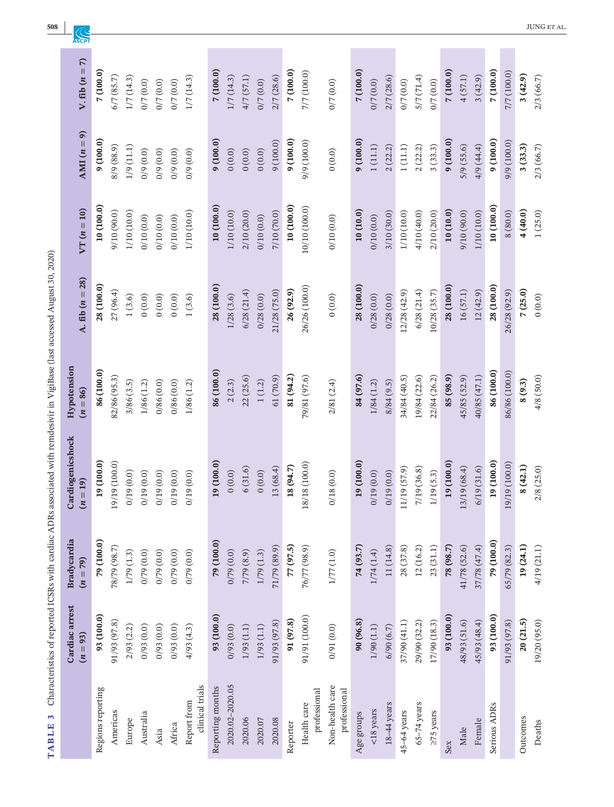| V. fib $(n = 7)$               | 7(100.0)          | 6/7(85.7)     | 1/7(14.3)   | 0/7(0.0)          | 0/7(0.0)  | 0/7(0.0)     | 1/7(14.3)                      | 7(100.0)         | 1/7(14.3)       | 4/7(57.1)   | 0/7(0.0)   | 2/7(28.6)    | 7(100.0)  | 7/7 (100.0)                 | 0/7(0.0)                        | 7(100.0)   | 0/7(0.0)              | 2/7(28.6)   | 0/7(0.0)              | 5/7(71.4)       | 0/7(0.0)        | 7(100.0)   | 4(57.1)      | 3(42.9)      | 7(100.0)            | 7/7 (100.0)   | 3(42.9)  | 2/3(66.7)    |
|--------------------------------|-------------------|---------------|-------------|-------------------|-----------|--------------|--------------------------------|------------------|-----------------|-------------|------------|--------------|-----------|-----------------------------|---------------------------------|------------|-----------------------|-------------|-----------------------|-----------------|-----------------|------------|--------------|--------------|---------------------|---------------|----------|--------------|
| AMI $(n = 9)$                  | 9(100.0)          | 8/9 (88.9)    | 1/9(11.1)   | 0/9(0.0)          | 0/9(0.0)  | 0/9(0.0)     | 0/9(0.0)                       | (100.0)          | 0(0.0)          | (0.0)0      | (0.0)0     | 9(100.0)     | 9(100.0)  | 9/9 (100.0)                 | (0.0)0                          | (100.0)    | $1\left( 11.1\right)$ | 2(22.2)     | $1\left( 11.1\right)$ | 2(22.2)         | 3(33.3)         | 9(100.0)   | 5/9(55.6)    | 4/9(44.4)    | 9(100.0)            | 9/9(100.0)    | 3(33.3)  | 2/3(66.7)    |
| $VT(n=10)$                     | 10 (100.0)        | 9/10 (90.0)   | 1/10 (10.0) | 0/10(0.0)         | 0/10(0.0) | 0/10(0.0)    | 1/10 (10.0)                    | 10(100.0)        | 1/10 (10.0)     | 2/10 (20.0) | 0/10(0.0)  | 7/10 (70.0)  | 10(100.0) | 10/10 (100.0)               | 0/10(0.0)                       | 10(10.0)   | 0/10(0.0)             | 3/10 (30.0) | 1/10 (10.0)           | 4/10 (40.0)     | 2/10 (20.0)     | 10(10.0)   | 9/10 (90.0)  | 1/10 (10.0)  | 10(100.0)           | 8(80.0)       | 4(40.0)  | 1(25.0)      |
| A. fib $(n = 28)$              | 28 (100.0)        | 27(96.4)      | $1\,(3.6)$  | 0(0.0)            | (0.0)0    | (0.0)0       | 1(3.6)                         | 28 (100.0)       | 1/28(3.6)       | 6/28(21.4)  | 0/28(0.0)  | 21/28 (75.0) | 26 (92.9) | 26/26 (100.0)               | (0.0)0                          | 28 (100.0) | 0/28(0.0)             | 0/28(0.0)   | 12/28(42.9)           | 6/28(21.4)      | 10/28 (35.7)    | 28(100.0)  | 16(57.1)     | 12(42.9)     | 28 (100.0)          | 26/28 (92.9)  | 7(25.0)  | 0(0.0)       |
| Hypotension<br>$(n = 86)$      | 86 (100.0)        | 82/86 (95.3)  | 3/86(3.5)   | 1/86(1.2)         | 0/86(0.0) | 0/86(0.0)    | 1/86(1.2)                      | 86 (100.0)       | 2(2.3)          | 22(25.6)    | $1\,(1.2)$ | 61(70.9)     | 81 (94.2) | 79/81 (97.6)                | 2/81(2.4)                       | 84 (97.6)  | 1/84(1.2)             | 8/84(9.5)   | 34/84 (40.5)          | 19/84 (22.6)    | 22/84 (26.2)    | 85 (98.9)  | 45/85 (52.9) | 40/85 (47.1) | 86 (100.0)          | 86/86 (100.0) | 8(9.3)   | 4/8(50.0)    |
| Cardiogenicshock<br>$(n = 19)$ | 19(100.0)         | 19/19 (100.0) | 0/19(0.0)   | 0/19(0.0)         | 0/19(0.0) | 0/19(0.0)    | 0/19(0.0)                      | 19 (100.0)       | 0(0.0)          | 6(31.6)     | (0.0)      | 13 (68.4)    | 18 (94.7) | 18/18 (100.0)               | 0/18(0.0)                       | 19 (100.0) | 0/19(0.0)             | 0/19(0.0)   | 11/19 (57.9)          | 7/19 (36.8)     | 1/19(5.3)       | 19(100.0)  | 13/19 (68.4) | 6/19(31.6)   | 19 (100.0)          | 19/19 (100.0) | 8(42.1)  | 2/8(25.0)    |
| Bradycardia<br>$(n = 79)$      | 79 (100.0)        | 78/79 (98.7)  | 1/79(1.3)   | $(0.0)$ 6/70      | 0/79(0.0) | $(0.0)$ 6/10 | 0/79(0.0)                      | 79 (100.0)       | 0/79(0.0)       | 7/79 (8.9)  | 1/79(1.3)  | 71/79 (89.9) | 77 (97.5) | 76/77 (98.9)                | $1/77\,(1.0)$                   | 74 (93.7)  | 1/74(1.4)             | 11 (14.8)   | 28 (37.8)             | 12(16.2)        | 23(31.1)        | 78 (98.7)  | 41/78 (52.6) | 37/78 (47.4) | 79 (100.0)          | 65/79 (82.3)  | 19(24.1) | 4/19(21.1)   |
| Cardiac arrest<br>$(n = 93)$   | 93 (100.0)        | 91/93 (97.8)  | 2/93(2.2)   | $(0.0)$ $\xi$ 6/0 | 0/93(0.0) | 0/93(0.0)    | 4/93(4.3)                      | 93 (100.0)       | 0/93(0.0)       | 1/93(1.1)   | 1/93(1.1)  | 91/93 (97.8) | 91 (97.8) | 91/91 (100.0)               | 0/91(0.0)                       | 90(96.8)   | 1/90(1.1)             | 6/90(6.7)   | 37/90 (41.1)          | 29/90 (32.2)    | 17/90 (18.3)    | 93 (100.0) | 48/93 (51.6) | 45/93 (48.4) | 93(100.0)           | 91/93 (97.8)  | 20(21.5) | 19/20 (95.0) |
|                                | Regions reporting | Americas      | Europe      | Australia         | Asia      | Africa       | clinical trials<br>Report from | Reporting months | 2020.02-2020.05 | 2020.06     | 2020.07    | 2020.08      | Reporter  | professional<br>Health care | Non-health care<br>professional | Age groups | $<$ 18 years          | 18-44 years | 45-64 years           | $65 - 74$ years | $\geq$ 75 years | Sex        | Male         | Female       | <b>Serious ADRs</b> |               | Outcomes | Deaths       |

TABLE 3 Characteristics of reported ICSRs with cardiac ADRs associated with remdesivir in VigiBase (last accessed August 30, 2020) **TABLE 3** Characteristics of reported ICSRs with cardiac ADRs associated with remdesivir in VigiBase (last accessed August 30, 2020)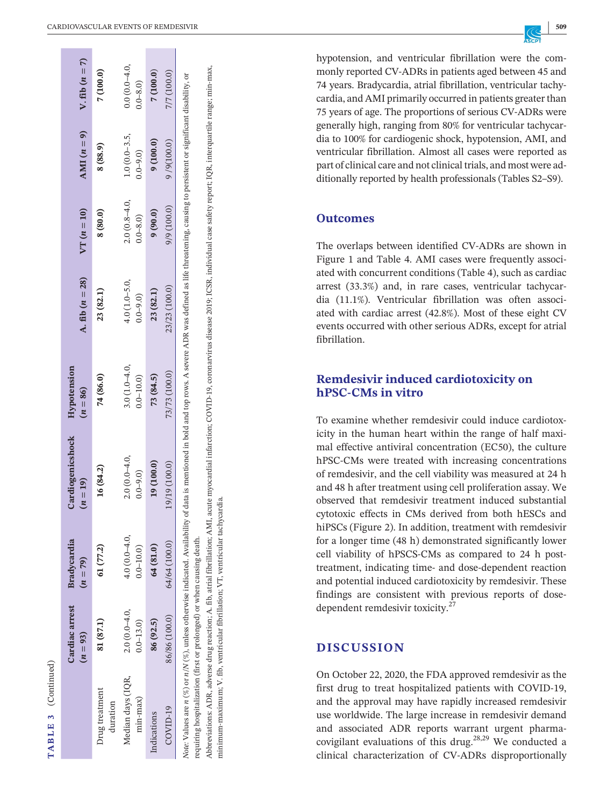| $V$ . fib $(n=7)$              | 7(100.0)                   | $0.0(0.0-4.0,$<br>$0-8.0$         | 7(100.0)    | 7/7(100.0)    |                                                                                                                                                                                                                               |
|--------------------------------|----------------------------|-----------------------------------|-------------|---------------|-------------------------------------------------------------------------------------------------------------------------------------------------------------------------------------------------------------------------------|
| AMI $(n = 9)$                  | 8 (88.9)                   | $1.0(0.0 - 3.5,$<br>$(0.6 - 0.0)$ | 9(100.0)    | 9/9(100.0)    |                                                                                                                                                                                                                               |
| $VT(n=10)$                     | 8 (80.0)                   | $2.0(0.8-4.0,$<br>$0.8 - 0.0$     | 9(90.0)     | 9/9(100.0)    |                                                                                                                                                                                                                               |
| A. fib $(n = 28)$              | 23 (82.1)                  | $4.0(1.0 - 5.0,$<br>$0.0 - 9.0$   | 23 (82.1)   | 23/23 (100.0) |                                                                                                                                                                                                                               |
| Hypotension<br>$(n = 86)$      | 74 (86.0)                  | $3.0(1.0-4.0,$<br>$0.0 - 10.0$    | 73 (84.5)   | 73/73 (100.0) |                                                                                                                                                                                                                               |
| Cardiogenicshock<br>$(n = 19)$ | 16 (84.2)                  | $2.0(0.0-4.0,$<br>$0.0 - 9.0$     | 19 (100.0)  | 19/19 (100.0) | Note: Values are $n(\%)$ or $n(N(\%)$ , unless otherwise indicated. Availability of data is mentioned in bold and top rows. A severe ADR was defined as life threatening, causing to persistent or significant disability, or |
| Bradycardia<br>$(n = 79)$      | 61 (77.2)                  | $4.0(0.0 - 4.0,$<br>$0.0 - 10.0$  | 64 (81.0)   | 64/64 (100.0) |                                                                                                                                                                                                                               |
| Cardiac arrest<br>$(n = 93)$   | 81 (87.1)                  | $2.0(0.0-4.0,$<br>$0.0 - 13.0$    | 86 (92.5)   | 86/86 (100.0) |                                                                                                                                                                                                                               |
|                                | Irug treatment<br>duration | Median days (IQR,<br>$min-max)$   | Indications | $COVID-19$    |                                                                                                                                                                                                                               |

Abbreviations: ADR, adverse drug reaction; A. fib, atrial fibrillation; AMI, acute myocardial infarction; COVID-19, coronarvirus disease 2019; ICSR, individual case safety report; IQR, interquartile range; min-max, Abbreviations: ADR, adverse drug reaction; A. fib, atrial fibrillation; AMI, acute myocardial infarction; COVID-19, coronarvirus disease 2019; ICSR, individual case safety report; IQR, interquartile range; min-max, requiring hospitalization (first or prolonged) or when causing death. requiring hospitalization (first or prolonged) or when causing death.

minimum-maximum; V. fib, ventricular fibrillation; VT, ventricular tachycardia minimum-maximum; V. fib, ventricular fibrillation; VT, ventricular tachycardia.

**<sup>|</sup>** CARDIOVASCULAR EVENTS OF REMDESIVIR **509**

hypotension, and ventricular fibrillation were the com monly reported CV-ADRs in patients aged between 45 and 74 years. Bradycardia, atrial fibrillation, ventricular tachy cardia, and AMI primarily occurred in patients greater than 75 years of age. The proportions of serious CV-ADRs were generally high, ranging from 80% for ventricular tachycar dia to 100% for cardiogenic shock, hypotension, AMI, and ventricular fibrillation. Almost all cases were reported as part of clinical care and not clinical trials, and most were additionally reported by health professionals (Tables S2–S9).

# **Outcomes**

The overlaps between identified CV-ADRs are shown in Figure 1 and Table 4. AMI cases were frequently associ ated with concurrent conditions (Table 4), such as cardiac arrest (33.3%) and, in rare cases, ventricular tachycar dia (11.1%). Ventricular fibrillation was often associ ated with cardiac arrest (42.8%). Most of these eight CV events occurred with other serious ADRs, except for atrial fibrillation.

# **Remdesivir induced cardiotoxicity on hPSC-CMs in vitro**

To examine whether remdesivir could induce cardiotox icity in the human heart within the range of half maxi mal effective antiviral concentration (EC50), the culture hPSC-CMs were treated with increasing concentrations of remdesivir, and the cell viability was measured at 24 h and 48 h after treatment using cell proliferation assay. We observed that remdesivir treatment induced substantial cytotoxic effects in CMs derived from both hESCs and hiPSCs (Figure 2). In addition, treatment with remdesivir for a longer time (48 h) demonstrated significantly lower cell viability of hPSCS-CMs as compared to 24 h posttreatment, indicating time- and dose-dependent reaction and potential induced cardiotoxicity by remdesivir. These findings are consistent with previous reports of dosedependent remdesivir toxicity.<sup>27</sup>

# **DISCUSSION**

On October 22, 2020, the FDA approved remdesivir as the first drug to treat hospitalized patients with COVID-19, and the approval may have rapidly increased remdesivir use worldwide. The large increase in remdesivir demand and associated ADR reports warrant urgent pharma covigilant evaluations of this drug. $28,29$  We conducted a clinical characterization of CV-ADRs disproportionally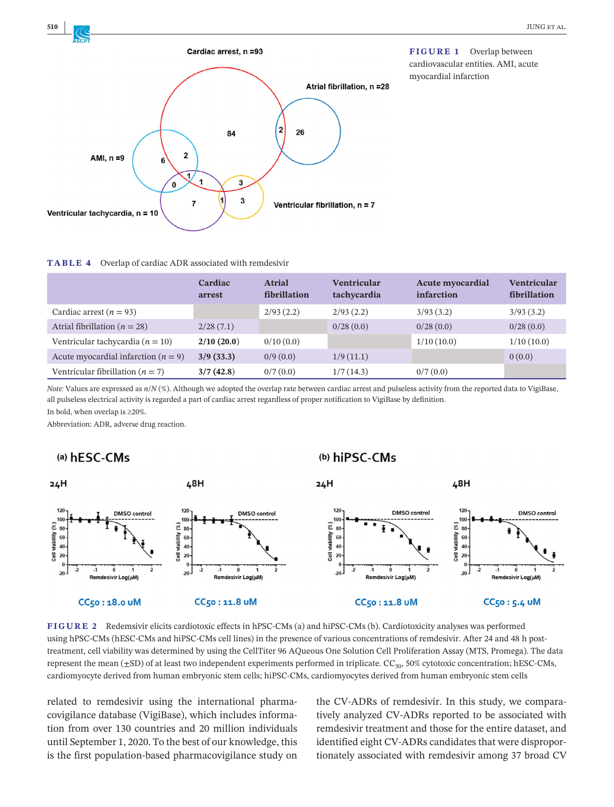

**FIGURE 1** Overlap between cardiovascular entities. AMI, acute myocardial infarction

#### **TABLE 4** Overlap of cardiac ADR associated with remdesivir

|                                         | Cardiac<br>arrest | <b>Atrial</b><br>fibrillation | <b>Ventricular</b><br>tachycardia | <b>Acute myocardial</b><br>infarction | <b>Ventricular</b><br>fibrillation |
|-----------------------------------------|-------------------|-------------------------------|-----------------------------------|---------------------------------------|------------------------------------|
| Cardiac arrest ( $n = 93$ )             |                   | 2/93(2.2)                     | 2/93(2.2)                         | 3/93(3.2)                             | 3/93(3.2)                          |
| Atrial fibrillation ( $n = 28$ )        | 2/28(7.1)         |                               | 0/28(0.0)                         | 0/28(0.0)                             | 0/28(0.0)                          |
| Ventricular tachycardia ( $n = 10$ )    | 2/10(20.0)        | 0/10(0.0)                     |                                   | 1/10(10.0)                            | 1/10(10.0)                         |
| Acute myocardial infarction ( $n = 9$ ) | 3/9(33.3)         | 0/9(0.0)                      | 1/9(11.1)                         |                                       | 0(0.0)                             |
| Ventricular fibrillation ( $n = 7$ )    | 3/7(42.8)         | 0/7(0.0)                      | 1/7(14.3)                         | 0/7(0.0)                              |                                    |

*Note:* Values are expressed as  $n/N$  (%). Although we adopted the overlap rate between cardiac arrest and pulseless activity from the reported data to VigiBase, all pulseless electrical activity is regarded a part of cardiac arrest regardless of proper notification to VigiBase by definition.

(b) hiPSC-CMs

In bold, when overlap is ≥20%.

Abbreviation: ADR, adverse drug reaction.

## (a) hESC-CMs



**FIGURE 2** Redemsivir elicits cardiotoxic effects in hPSC-CMs (a) and hiPSC-CMs (b). Cardiotoxicity analyses was performed using hPSC-CMs (hESC-CMs and hiPSC-CMs cell lines) in the presence of various concentrations of remdesivir. After 24 and 48 h posttreatment, cell viability was determined by using the CellTiter 96 AQueous One Solution Cell Proliferation Assay (MTS, Promega). The data represent the mean  $(\pm SD)$  of at least two independent experiments performed in triplicate.  $CC_{50}$ , 50% cytotoxic concentration; hESC-CMs, cardiomyocyte derived from human embryonic stem cells; hiPSC-CMs, cardiomyocytes derived from human embryonic stem cells

related to remdesivir using the international pharmacovigilance database (VigiBase), which includes information from over 130 countries and 20 million individuals until September 1, 2020. To the best of our knowledge, this is the first population-based pharmacovigilance study on

the CV-ADRs of remdesivir. In this study, we comparatively analyzed CV-ADRs reported to be associated with remdesivir treatment and those for the entire dataset, and identified eight CV-ADRs candidates that were disproportionately associated with remdesivir among 37 broad CV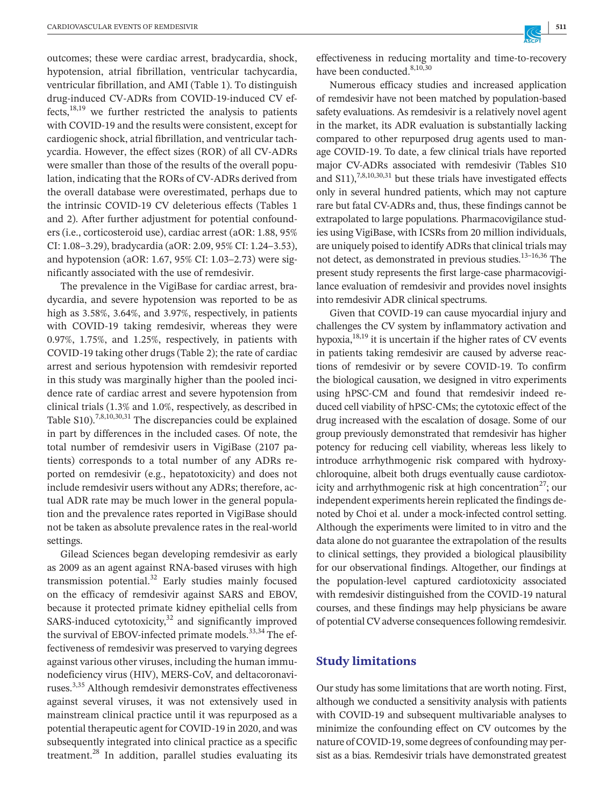outcomes; these were cardiac arrest, bradycardia, shock, hypotension, atrial fibrillation, ventricular tachycardia, ventricular fibrillation, and AMI (Table 1). To distinguish drug-induced CV-ADRs from COVID-19-induced CV effects, $18,19$  we further restricted the analysis to patients with COVID-19 and the results were consistent, except for cardiogenic shock, atrial fibrillation, and ventricular tachycardia. However, the effect sizes (ROR) of all CV-ADRs were smaller than those of the results of the overall population, indicating that the RORs of CV-ADRs derived from the overall database were overestimated, perhaps due to the intrinsic COVID-19 CV deleterious effects (Tables 1 and 2). After further adjustment for potential confounders (i.e., corticosteroid use), cardiac arrest (aOR: 1.88, 95% CI: 1.08–3.29), bradycardia (aOR: 2.09, 95% CI: 1.24–3.53), and hypotension (aOR: 1.67, 95% CI: 1.03–2.73) were significantly associated with the use of remdesivir.

The prevalence in the VigiBase for cardiac arrest, bradycardia, and severe hypotension was reported to be as high as 3.58%, 3.64%, and 3.97%, respectively, in patients with COVID-19 taking remdesivir, whereas they were 0.97%, 1.75%, and 1.25%, respectively, in patients with COVID-19 taking other drugs (Table 2); the rate of cardiac arrest and serious hypotension with remdesivir reported in this study was marginally higher than the pooled incidence rate of cardiac arrest and severe hypotension from clinical trials (1.3% and 1.0%, respectively, as described in Table  $S10$ ).<sup>7,8,10,30,31</sup> The discrepancies could be explained in part by differences in the included cases. Of note, the total number of remdesivir users in VigiBase (2107 patients) corresponds to a total number of any ADRs reported on remdesivir (e.g., hepatotoxicity) and does not include remdesivir users without any ADRs; therefore, actual ADR rate may be much lower in the general population and the prevalence rates reported in VigiBase should not be taken as absolute prevalence rates in the real-world settings.

Gilead Sciences began developing remdesivir as early as 2009 as an agent against RNA-based viruses with high transmission potential. $32$  Early studies mainly focused on the efficacy of remdesivir against SARS and EBOV, because it protected primate kidney epithelial cells from SARS-induced cytotoxicity, $32$  and significantly improved the survival of EBOV-infected primate models.<sup>33,34</sup> The effectiveness of remdesivir was preserved to varying degrees against various other viruses, including the human immunodeficiency virus (HIV), MERS-CoV, and deltacoronaviruses.3,35 Although remdesivir demonstrates effectiveness against several viruses, it was not extensively used in mainstream clinical practice until it was repurposed as a potential therapeutic agent for COVID-19 in 2020, and was subsequently integrated into clinical practice as a specific treatment.<sup>28</sup> In addition, parallel studies evaluating its effectiveness in reducing mortality and time-to-recovery have been conducted.<sup>8,10,30</sup>

Numerous efficacy studies and increased application of remdesivir have not been matched by population-based safety evaluations. As remdesivir is a relatively novel agent in the market, its ADR evaluation is substantially lacking compared to other repurposed drug agents used to manage COVID-19. To date, a few clinical trials have reported major CV-ADRs associated with remdesivir (Tables S10 and  $S$ 11),<sup>7,8,10,30,31</sup> but these trials have investigated effects only in several hundred patients, which may not capture rare but fatal CV-ADRs and, thus, these findings cannot be extrapolated to large populations. Pharmacovigilance studies using VigiBase, with ICSRs from 20 million individuals, are uniquely poised to identify ADRs that clinical trials may not detect, as demonstrated in previous studies.13–16,36 The present study represents the first large-case pharmacovigilance evaluation of remdesivir and provides novel insights into remdesivir ADR clinical spectrums.

Given that COVID-19 can cause myocardial injury and challenges the CV system by inflammatory activation and hypoxia, $18,19$  it is uncertain if the higher rates of CV events in patients taking remdesivir are caused by adverse reactions of remdesivir or by severe COVID-19. To confirm the biological causation, we designed in vitro experiments using hPSC-CM and found that remdesivir indeed reduced cell viability of hPSC-CMs; the cytotoxic effect of the drug increased with the escalation of dosage. Some of our group previously demonstrated that remdesivir has higher potency for reducing cell viability, whereas less likely to introduce arrhythmogenic risk compared with hydroxychloroquine, albeit both drugs eventually cause cardiotoxicity and arrhythmogenic risk at high concentration<sup>27</sup>; our independent experiments herein replicated the findings denoted by Choi et al. under a mock-infected control setting. Although the experiments were limited to in vitro and the data alone do not guarantee the extrapolation of the results to clinical settings, they provided a biological plausibility for our observational findings. Altogether, our findings at the population-level captured cardiotoxicity associated with remdesivir distinguished from the COVID-19 natural courses, and these findings may help physicians be aware of potentialCVadverse consequencesfollowing remdesivir.

## **Study limitations**

Our study has some limitations that are worth noting. First, although we conducted a sensitivity analysis with patients with COVID-19 and subsequent multivariable analyses to minimize the confounding effect on CV outcomes by the nature of COVID-19, some degrees of confounding may persist as a bias. Remdesivir trials have demonstrated greatest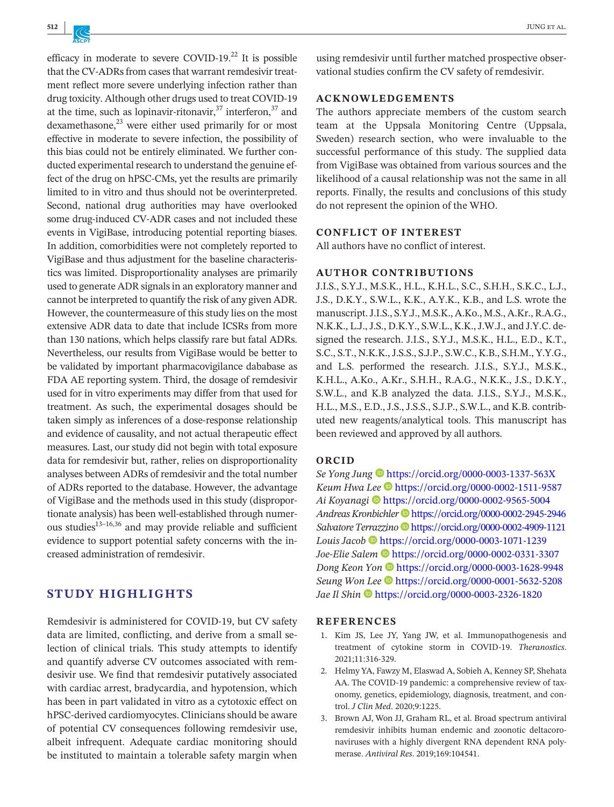efficacy in moderate to severe COVID-19.<sup>22</sup> It is possible that the CV-ADRs from cases that warrant remdesivir treatment reflect more severe underlying infection rather than drug toxicity. Although other drugs used to treat COVID-19 at the time, such as lopinavir-ritonavir, $37$  interferon,  $37$  and dexamethasone. $^{23}$  were either used primarily for or most effective in moderate to severe infection, the possibility of this bias could not be entirely eliminated. We further conducted experimental research to understand the genuine effect of the drug on hPSC-CMs, yet the results are primarily limited to in vitro and thus should not be overinterpreted. Second, national drug authorities may have overlooked some drug-induced CV-ADR cases and not included these events in VigiBase, introducing potential reporting biases. In addition, comorbidities were not completely reported to VigiBase and thus adjustment for the baseline characteristics was limited. Disproportionality analyses are primarily used to generate ADR signals in an exploratory manner and cannot be interpreted to quantify the risk of any given ADR. However, the countermeasure of this study lies on the most extensive ADR data to date that include ICSRs from more than 130 nations, which helps classify rare but fatal ADRs. Nevertheless, our results from VigiBase would be better to be validated by important pharmacovigilance dababase as FDA AE reporting system. Third, the dosage of remdesivir used for in vitro experiments may differ from that used for treatment. As such, the experimental dosages should be taken simply as inferences of a dose-response relationship and evidence of causality, and not actual therapeutic effect measures. Last, our study did not begin with total exposure data for remdesivir but, rather, relies on disproportionality analyses between ADRs of remdesivir and the total number of ADRs reported to the database. However, the advantage of VigiBase and the methods used in this study (disproportionate analysis) has been well-established through numerous studies $^{13-16,36}$  and may provide reliable and sufficient evidence to support potential safety concerns with the increased administration of remdesivir.

## **STUDY HIGHLIGHTS**

Remdesivir is administered for COVID-19, but CV safety data are limited, conflicting, and derive from a small selection of clinical trials. This study attempts to identify and quantify adverse CV outcomes associated with remdesivir use. We find that remdesivir putatively associated with cardiac arrest, bradycardia, and hypotension, which has been in part validated in vitro as a cytotoxic effect on hPSC-derived cardiomyocytes. Clinicians should be aware of potential CV consequences following remdesivir use, albeit infrequent. Adequate cardiac monitoring should be instituted to maintain a tolerable safety margin when

using remdesivir until further matched prospective observational studies confirm the CV safety of remdesivir.

## **ACKNOWLEDGEMENTS**

The authors appreciate members of the custom search team at the Uppsala Monitoring Centre (Uppsala, Sweden) research section, who were invaluable to the successful performance of this study. The supplied data from VigiBase was obtained from various sources and the likelihood of a causal relationship was not the same in all reports. Finally, the results and conclusions of this study do not represent the opinion of the WHO.

#### **CONFLICT OF INTEREST**

All authors have no conflict of interest.

#### **AUTHOR CONTRIBUTIONS**

J.I.S., S.Y.J., M.S.K., H.L., K.H.L., S.C., S.H.H., S.K.C., L.J., J.S., D.K.Y., S.W.L., K.K., A.Y.K., K.B., and L.S. wrote the manuscript.J.I.S., S.Y.J., M.S.K., A.Ko., M.S., A.Kr., R.A.G., N.K.K., L.J.,J.S., D.K.Y., S.W.L., K.K.,J.W.J., and J.Y.C. designed the research. J.I.S., S.Y.J., M.S.K., H.L., E.D., K.T., S.C., S.T., N.K.K.,J.S.S., S.J.P., S.W.C., K.B., S.H.M., Y.Y.G., and L.S. performed the research. J.I.S., S.Y.J., M.S.K., K.H.L., A.Ko., A.Kr., S.H.H., R.A.G., N.K.K., J.S., D.K.Y., S.W.L., and K.B analyzed the data. J.I.S., S.Y.J., M.S.K., H.L., M.S., E.D., J.S., J.S.S., S.J.P., S.W.L., and K.B. contributed new reagents/analytical tools. This manuscript has been reviewed and approved by all authors.

## **ORCID**

*Se Yong Jung* <https://orcid.org/0000-0003-1337-563X> *Keum Hwa Lee* <https://orcid.org/0000-0002-1511-9587> *Ai Koyanagi* <https://orcid.org/0000-0002-9565-5004> *Andreas Kronbichler* <https://orcid.org/0000-0002-2945-2946> *Salvatore Terrazzino* **<https://orcid.org/0000-0002-4909-1121>** *Louis Jacob* <https://orcid.org/0000-0003-1071-1239> *Joe-Elie Salem* <https://orcid.org/0000-0002-0331-3307> *Dong Keon Yon* <https://orcid.org/0000-0003-1628-9948> *Seung Won Lee* <https://orcid.org/0000-0001-5632-5208> *Jae Il Shin* <https://orcid.org/0000-0003-2326-1820>

#### **REFERENCES**

- 1. Kim JS, Lee JY, Yang JW, et al. Immunopathogenesis and treatment of cytokine storm in COVID-19. *Theranostics*. 2021;11:316-329.
- 2. Helmy YA, Fawzy M, Elaswad A, Sobieh A, Kenney SP, Shehata AA. The COVID-19 pandemic: a comprehensive review of taxonomy, genetics, epidemiology, diagnosis, treatment, and control. *J Clin Med*. 2020;9:1225.
- 3. Brown AJ, Won JJ, Graham RL, et al. Broad spectrum antiviral remdesivir inhibits human endemic and zoonotic deltacoronaviruses with a highly divergent RNA dependent RNA polymerase. *Antiviral Res*. 2019;169:104541.